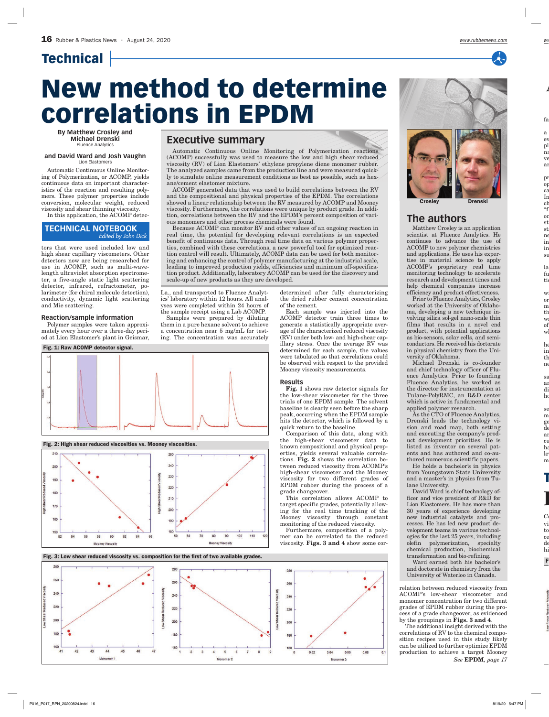## **Technical**

# New method to determine correlations in EPDM

**By Matthew Crosley and Michael Drenski** Fluence Analytics

#### **and David Ward and Josh Vaughn** Lion Elastomers

Automatic Continuous Online Monitoring of Polymerization, or ACOMP, yields continuous data on important characteristics of the reaction and resulting polymers. These polymer properties include conversion, molecular weight, reduced viscosity and shear thinning viscosity.

In this application, the ACOMP detec-

## **TECHNICAL NOTEBOOK** *Edited by John Dick*

tors that were used included low and high shear capillary viscometers. Other detectors now are being researched for use in ACOMP, such as multi-wavelength ultraviolet absorption spectrometer, a five-angle static light scattering detector, infrared, refractometer, polarimeter (for chiral molecule detection), conductivity, dynamic light scattering and Mie scattering.

### **Reaction/sample information**

Polymer samples were taken approximately every hour over a three-day period at Lion Elastomer's plant in Geismar,

## Fig. 1: Raw ACOMP detector signal.







Fig. 3: Low shear reduced viscosity vs. composition for the first of two available grades.



## **Executive summary**

Automatic Continuous Online Monitoring of Polymerization reactions (ACOMP) successfully was used to measure the low and high shear reduced viscosity (RV) of Lion Elastomers' ethylene propylene diene monomer rubber. The analyzed samples came from the production line and were measured quickly to simulate online measurement conditions as best as possible, such as hexane/cement elastomer mixture.

ACOMP generated data that was used to build correlations between the RV and the compositional and physical properties of the EPDM. The correlations showed a linear relationship between the RV measured by ACOMP and Mooney viscosity. Furthermore, the correlations were unique by product grade. In addition, correlations between the RV and the EPDM's percent composition of various monomers and other process chemicals were found.

Because ACOMP can monitor RV and other values of an ongoing reaction in real time, the potential for developing relevant correlations is an expected benefit of continuous data. Through real time data on various polymer properties, combined with these correlations, a new powerful tool for optimized reaction control will result. Ultimately, ACOMP data can be used for both monitoring and enhancing the control of polymer manufacturing at the industrial scale, leading to improved production yields, efficiencies and minimum off-specification product. Additionally, laboratory ACOMP can be used for the discovery and scale-up of new products as they are developed.

La., and transported to Fluence Analytics' laboratory within 12 hours. All analyses were completed within 24 hours of the sample receipt using a Lab ACOMP.

Samples were prepared by diluting them in a pure hexane solvent to achieve a concentration near 5 mg/mL for testing. The concentration was accurately

determined after fully characterizing the dried rubber cement concentration of the cement.

Each sample was injected into the ACOMP detector train three times to generate a statistically appropriate average of the characterized reduced viscosity (RV) under both low- and high-shear capillary stress. Once the average RV was determined for each sample, the values were tabulated so that correlations could be observed with respect to the provided Mooney viscosity measurements.

#### **Results**

Fig. 1 shows raw detector signals for the low-shear viscometer for the three trials of one EPDM sample. The solvent baseline is clearly seen before the sharp peak, occurring when the EPDM sample hits the detector, which is followed by a quick return to the baseline.

Comparison of this data, along with the high-shear viscometer data to known compositional and physical properties, yields several valuable correlations. Fig. 2 shows the correlation between reduced viscosity from ACOMP's high-shear viscometer and the Mooney viscosity for two different grades of EPDM rubber during the process of a grade changeover.

This correlation allows ACOMP to target specific grades, potentially allowing for the real time tracking of the Mooney viscosity through constant monitoring of the reduced viscosity.

Furthermore, composition of a polymer can be correlated to the reduced viscosity. Figs. 3 and 4 show some cor-



## **The authors**

Matthew Crosley is an application scientist at Fluence Analytics. He continues to advance the use of ACOMP to new polymer chemistries and applications. He uses his expertise in material science to apply<br>ACOMP's proprietary real time ACOMP's proprietary real monitoring technology to accelerate research and development times and help chemical companies increase efficiency and product effectiveness.

Prior to Fluence Analytics, Crosley worked at the University of Oklahoma, developing a new technique involving silica sol-gel nano-scale thin films that results in a novel end product, with potential applications as bio-sensors, solar cells, and semiconductors. He received his doctorate in physical chemistry from the University of Oklahoma.

Michael Drenski is co-founder and chief technology officer of Fluence Analytics. Prior to founding Fluence Analytics, he worked as the director for instrumentation at Tulane-PolyRMC, an R&D center which is active in fundamental and applied polymer research.

As the CTO of Fluence Analytics, Drenski leads the technology vision and road map, both setting and executing the company's product development priorities. He is listed as inventor on several patents and has authored and co-authored numerous scientific papers.

He holds a bachelor's in physics from Youngstown State University and a master's in physics from Tulane University.

David Ward is chief technology officer and vice president of R&D for Lion Elastomers. He has more than 30 years of experience developing new industrial catalysts and processes. He has led new product development teams in various technologies for the last 25 years, including olefin polymerization, specialty chemical production, biochemical transformation and bio-refining.

Ward earned both his bachelor's and doctorate in chemistry from the University of Waterloo in Canada.

relation between reduced viscosity from ACOMP's low-shear viscometer and monomer concentration for two different grades of EPDM rubber during the process of a grade changeover, as evidenced by the groupings in  $\overline{Figs.}$  3 and 4.

The additional insight derived with the correlations of RV to the chemical composition recipes used in this study likely can be utilized to further optimize EPDM production to achieve a target Mooney *See* EPDM*, page 17*